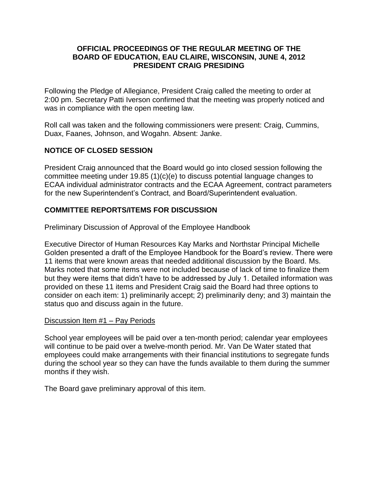## **OFFICIAL PROCEEDINGS OF THE REGULAR MEETING OF THE BOARD OF EDUCATION, EAU CLAIRE, WISCONSIN, JUNE 4, 2012 PRESIDENT CRAIG PRESIDING**

Following the Pledge of Allegiance, President Craig called the meeting to order at 2:00 pm. Secretary Patti Iverson confirmed that the meeting was properly noticed and was in compliance with the open meeting law.

Roll call was taken and the following commissioners were present: Craig, Cummins, Duax, Faanes, Johnson, and Wogahn. Absent: Janke.

# **NOTICE OF CLOSED SESSION**

President Craig announced that the Board would go into closed session following the committee meeting under 19.85 (1)(c)(e) to discuss potential language changes to ECAA individual administrator contracts and the ECAA Agreement, contract parameters for the new Superintendent's Contract, and Board/Superintendent evaluation.

# **COMMITTEE REPORTS/ITEMS FOR DISCUSSION**

Preliminary Discussion of Approval of the Employee Handbook

Executive Director of Human Resources Kay Marks and Northstar Principal Michelle Golden presented a draft of the Employee Handbook for the Board's review. There were 11 items that were known areas that needed additional discussion by the Board. Ms. Marks noted that some items were not included because of lack of time to finalize them but they were items that didn't have to be addressed by July 1. Detailed information was provided on these 11 items and President Craig said the Board had three options to consider on each item: 1) preliminarily accept; 2) preliminarily deny; and 3) maintain the status quo and discuss again in the future.

## Discussion Item #1 – Pay Periods

School year employees will be paid over a ten-month period; calendar year employees will continue to be paid over a twelve-month period. Mr. Van De Water stated that employees could make arrangements with their financial institutions to segregate funds during the school year so they can have the funds available to them during the summer months if they wish.

The Board gave preliminary approval of this item.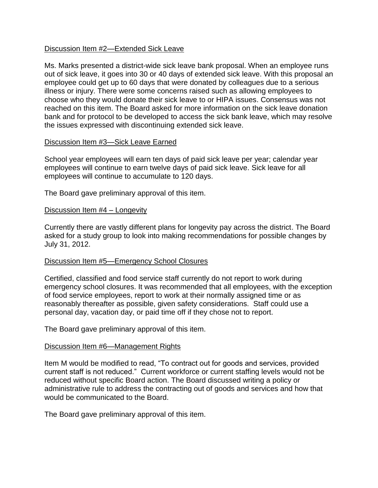### Discussion Item #2—Extended Sick Leave

Ms. Marks presented a district-wide sick leave bank proposal. When an employee runs out of sick leave, it goes into 30 or 40 days of extended sick leave. With this proposal an employee could get up to 60 days that were donated by colleagues due to a serious illness or injury. There were some concerns raised such as allowing employees to choose who they would donate their sick leave to or HIPA issues. Consensus was not reached on this item. The Board asked for more information on the sick leave donation bank and for protocol to be developed to access the sick bank leave, which may resolve the issues expressed with discontinuing extended sick leave.

### Discussion Item #3—Sick Leave Earned

School year employees will earn ten days of paid sick leave per year; calendar year employees will continue to earn twelve days of paid sick leave. Sick leave for all employees will continue to accumulate to 120 days.

The Board gave preliminary approval of this item.

### Discussion Item #4 – Longevity

Currently there are vastly different plans for longevity pay across the district. The Board asked for a study group to look into making recommendations for possible changes by July 31, 2012.

## Discussion Item #5—Emergency School Closures

Certified, classified and food service staff currently do not report to work during emergency school closures. It was recommended that all employees, with the exception of food service employees, report to work at their normally assigned time or as reasonably thereafter as possible, given safety considerations. Staff could use a personal day, vacation day, or paid time off if they chose not to report.

The Board gave preliminary approval of this item.

### Discussion Item #6—Management Rights

Item M would be modified to read, "To contract out for goods and services, provided current staff is not reduced." Current workforce or current staffing levels would not be reduced without specific Board action. The Board discussed writing a policy or administrative rule to address the contracting out of goods and services and how that would be communicated to the Board.

The Board gave preliminary approval of this item.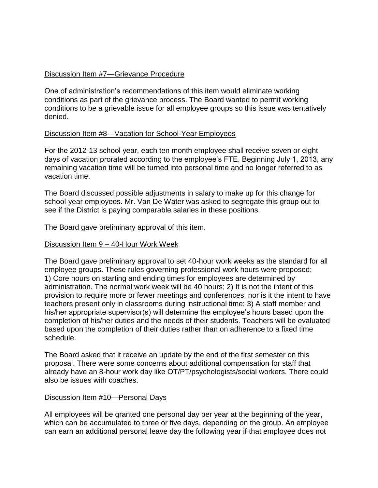## Discussion Item #7—Grievance Procedure

One of administration's recommendations of this item would eliminate working conditions as part of the grievance process. The Board wanted to permit working conditions to be a grievable issue for all employee groups so this issue was tentatively denied.

## Discussion Item #8—Vacation for School-Year Employees

For the 2012-13 school year, each ten month employee shall receive seven or eight days of vacation prorated according to the employee's FTE. Beginning July 1, 2013, any remaining vacation time will be turned into personal time and no longer referred to as vacation time.

The Board discussed possible adjustments in salary to make up for this change for school-year employees. Mr. Van De Water was asked to segregate this group out to see if the District is paying comparable salaries in these positions.

The Board gave preliminary approval of this item.

## Discussion Item 9 – 40-Hour Work Week

The Board gave preliminary approval to set 40-hour work weeks as the standard for all employee groups. These rules governing professional work hours were proposed: 1) Core hours on starting and ending times for employees are determined by administration. The normal work week will be 40 hours; 2) It is not the intent of this provision to require more or fewer meetings and conferences, nor is it the intent to have teachers present only in classrooms during instructional time; 3) A staff member and his/her appropriate supervisor(s) will determine the employee's hours based upon the completion of his/her duties and the needs of their students. Teachers will be evaluated based upon the completion of their duties rather than on adherence to a fixed time schedule.

The Board asked that it receive an update by the end of the first semester on this proposal. There were some concerns about additional compensation for staff that already have an 8-hour work day like OT/PT/psychologists/social workers. There could also be issues with coaches.

## Discussion Item #10—Personal Days

All employees will be granted one personal day per year at the beginning of the year, which can be accumulated to three or five days, depending on the group. An employee can earn an additional personal leave day the following year if that employee does not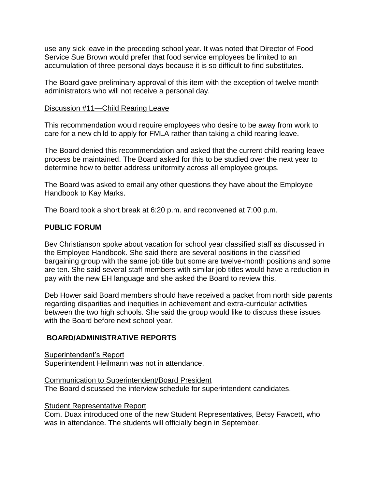use any sick leave in the preceding school year. It was noted that Director of Food Service Sue Brown would prefer that food service employees be limited to an accumulation of three personal days because it is so difficult to find substitutes.

The Board gave preliminary approval of this item with the exception of twelve month administrators who will not receive a personal day.

### Discussion #11—Child Rearing Leave

This recommendation would require employees who desire to be away from work to care for a new child to apply for FMLA rather than taking a child rearing leave.

The Board denied this recommendation and asked that the current child rearing leave process be maintained. The Board asked for this to be studied over the next year to determine how to better address uniformity across all employee groups.

The Board was asked to email any other questions they have about the Employee Handbook to Kay Marks.

The Board took a short break at 6:20 p.m. and reconvened at 7:00 p.m.

## **PUBLIC FORUM**

Bev Christianson spoke about vacation for school year classified staff as discussed in the Employee Handbook. She said there are several positions in the classified bargaining group with the same job title but some are twelve-month positions and some are ten. She said several staff members with similar job titles would have a reduction in pay with the new EH language and she asked the Board to review this.

Deb Hower said Board members should have received a packet from north side parents regarding disparities and inequities in achievement and extra-curricular activities between the two high schools. She said the group would like to discuss these issues with the Board before next school year.

## **BOARD/ADMINISTRATIVE REPORTS**

Superintendent's Report Superintendent Heilmann was not in attendance.

Communication to Superintendent/Board President The Board discussed the interview schedule for superintendent candidates.

## **Student Representative Report**

Com. Duax introduced one of the new Student Representatives, Betsy Fawcett, who was in attendance. The students will officially begin in September.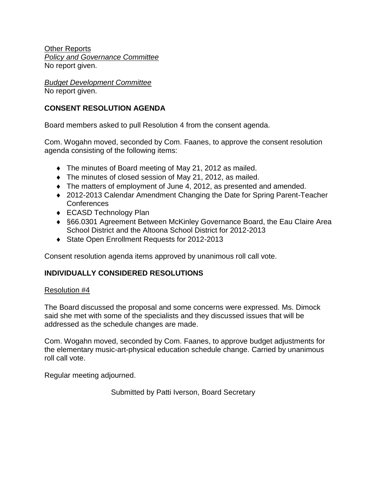Other Reports *Policy and Governance Committee* No report given.

*Budget Development Committee* No report given.

# **CONSENT RESOLUTION AGENDA**

Board members asked to pull Resolution 4 from the consent agenda.

Com. Wogahn moved, seconded by Com. Faanes, to approve the consent resolution agenda consisting of the following items:

- The minutes of Board meeting of May 21, 2012 as mailed.
- The minutes of closed session of May 21, 2012, as mailed.
- The matters of employment of June 4, 2012, as presented and amended.
- ◆ 2012-2013 Calendar Amendment Changing the Date for Spring Parent-Teacher **Conferences**
- ◆ ECASD Technology Plan
- §66.0301 Agreement Between McKinley Governance Board, the Eau Claire Area School District and the Altoona School District for 2012-2013
- ◆ State Open Enrollment Requests for 2012-2013

Consent resolution agenda items approved by unanimous roll call vote.

## **INDIVIDUALLY CONSIDERED RESOLUTIONS**

## Resolution #4

The Board discussed the proposal and some concerns were expressed. Ms. Dimock said she met with some of the specialists and they discussed issues that will be addressed as the schedule changes are made.

Com. Wogahn moved, seconded by Com. Faanes, to approve budget adjustments for the elementary music-art-physical education schedule change. Carried by unanimous roll call vote.

Regular meeting adjourned.

Submitted by Patti Iverson, Board Secretary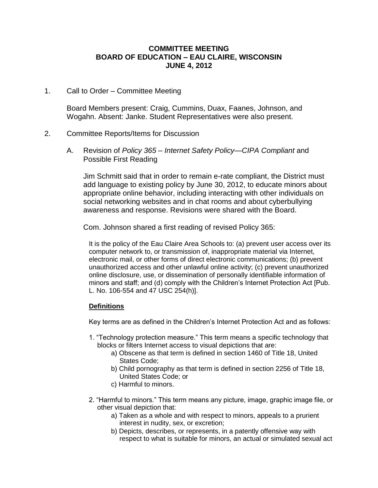### **COMMITTEE MEETING BOARD OF EDUCATION – EAU CLAIRE, WISCONSIN JUNE 4, 2012**

1. Call to Order – Committee Meeting

Board Members present: Craig, Cummins, Duax, Faanes, Johnson, and Wogahn. Absent: Janke. Student Representatives were also present.

### 2. Committee Reports/Items for Discussion

A. Revision of *Policy 365 – Internet Safety Policy—CIPA Compliant* and Possible First Reading

Jim Schmitt said that in order to remain e-rate compliant, the District must add language to existing policy by June 30, 2012, to educate minors about appropriate online behavior, including interacting with other individuals on social networking websites and in chat rooms and about cyberbullying awareness and response. Revisions were shared with the Board.

Com. Johnson shared a first reading of revised Policy 365:

It is the policy of the Eau Claire Area Schools to: (a) prevent user access over its computer network to, or transmission of, inappropriate material via Internet, electronic mail, or other forms of direct electronic communications; (b) prevent unauthorized access and other unlawful online activity; (c) prevent unauthorized online disclosure, use, or dissemination of personally identifiable information of minors and staff; and (d) comply with the Children's Internet Protection Act [Pub. L. No. 106-554 and 47 USC 254(h)].

### **Definitions**

Key terms are as defined in the Children's Internet Protection Act and as follows:

- 1. "Technology protection measure." This term means a specific technology that blocks or filters Internet access to visual depictions that are:
	- a) Obscene as that term is defined in section 1460 of Title 18, United States Code;
	- b) Child pornography as that term is defined in section 2256 of Title 18, United States Code; or
	- c) Harmful to minors.
- 2. "Harmful to minors." This term means any picture, image, graphic image file, or other visual depiction that:
	- a) Taken as a whole and with respect to minors, appeals to a prurient interest in nudity, sex, or excretion;
	- b) Depicts, describes, or represents, in a patently offensive way with respect to what is suitable for minors, an actual or simulated sexual act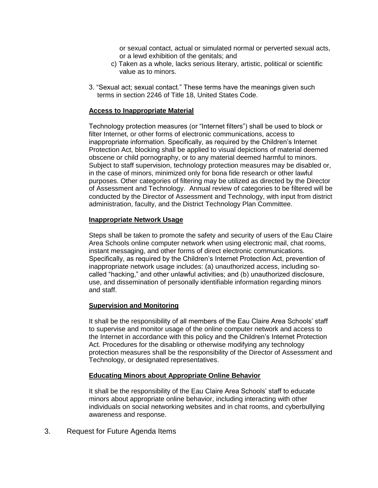or sexual contact, actual or simulated normal or perverted sexual acts, or a lewd exhibition of the genitals; and

- c) Taken as a whole, lacks serious literary, artistic, political or scientific value as to minors.
- 3. "Sexual act; sexual contact." These terms have the meanings given such terms in section 2246 of Title 18, United States Code.

### **Access to Inappropriate Material**

Technology protection measures (or "Internet filters") shall be used to block or filter Internet, or other forms of electronic communications, access to inappropriate information. Specifically, as required by the Children's Internet Protection Act, blocking shall be applied to visual depictions of material deemed obscene or child pornography, or to any material deemed harmful to minors. Subject to staff supervision, technology protection measures may be disabled or, in the case of minors, minimized only for bona fide research or other lawful purposes. Other categories of filtering may be utilized as directed by the Director of Assessment and Technology. Annual review of categories to be filtered will be conducted by the Director of Assessment and Technology, with input from district administration, faculty, and the District Technology Plan Committee.

#### **Inappropriate Network Usage**

Steps shall be taken to promote the safety and security of users of the Eau Claire Area Schools online computer network when using electronic mail, chat rooms, instant messaging, and other forms of direct electronic communications. Specifically, as required by the Children's Internet Protection Act, prevention of inappropriate network usage includes: (a) unauthorized access, including socalled "hacking," and other unlawful activities; and (b) unauthorized disclosure, use, and dissemination of personally identifiable information regarding minors and staff.

#### **Supervision and Monitoring**

It shall be the responsibility of all members of the Eau Claire Area Schools' staff to supervise and monitor usage of the online computer network and access to the Internet in accordance with this policy and the Children's Internet Protection Act. Procedures for the disabling or otherwise modifying any technology protection measures shall be the responsibility of the Director of Assessment and Technology, or designated representatives.

### **Educating Minors about Appropriate Online Behavior**

It shall be the responsibility of the Eau Claire Area Schools' staff to educate minors about appropriate online behavior, including interacting with other individuals on social networking websites and in chat rooms, and cyberbullying awareness and response.

3. Request for Future Agenda Items